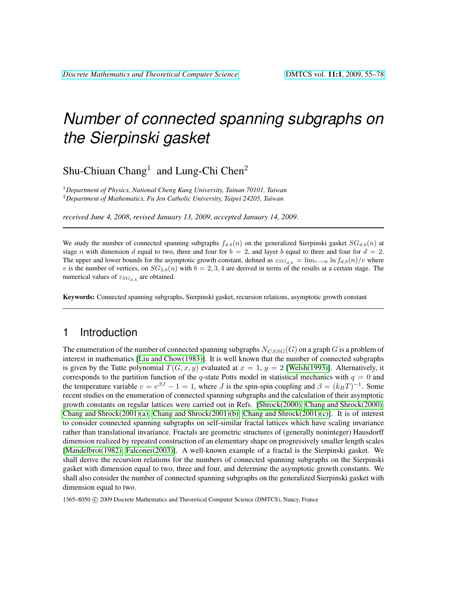Shu-Chiuan  $Chang<sup>1</sup>$  and Lung-Chi Chen<sup>2</sup>

<sup>1</sup>*Department of Physics, National Cheng Kung University, Tainan 70101, Taiwan* <sup>2</sup>*Department of Mathematics, Fu Jen Catholic University, Taipei 24205, Taiwan*

*received June 4, 2008*, *revised January 13, 2009*, *accepted January 14, 2009*.

We study the number of connected spanning subgraphs  $f_{d,b}(n)$  on the generalized Sierpinski gasket  $SG_{d,b}(n)$  at stage n with dimension d equal to two, three and four for  $b = 2$ , and layer b equal to three and four for  $d = 2$ . The upper and lower bounds for the asymptotic growth constant, defined as  $z_{SG_{d,b}} = \lim_{v\to\infty} \ln f_{d,b}(n)/v$  where v is the number of vertices, on  $SG_{2,b}(n)$  with  $b = 2, 3, 4$  are derived in terms of the results at a certain stage. The numerical values of  $z_{SG_{d,b}}$  are obtained.

Keywords: Connected spanning subgraphs, Sierpinski gasket, recursion relations, asymptotic growth constant

### 1 Introduction

The enumeration of the number of connected spanning subgraphs  $N_{CSSG}(G)$  on a graph G is a problem of interest in mathematics [\[Liu and Chow\(1983\)\]](#page-22-0). It is well known that the number of connected subgraphs is given by the Tutte polynomial  $T(G, x, y)$  evaluated at  $x = 1$ ,  $y = 2$  [\[Welsh\(1993\)\]](#page-22-1). Alternatively, it corresponds to the partition function of the q-state Potts model in statistical mechanics with  $q = 0$  and the temperature variable  $v = e^{\beta J} - 1 = 1$ , where *J* is the spin-spin coupling and  $\beta = (k_B T)^{-1}$ . Some recent studies on the enumeration of connected spanning subgraphs and the calculation of their asymptotic growth constants on regular lattices were carried out in Refs. [\[Shrock\(2000\),](#page-22-2) [Chang and Shrock\(2000\),](#page-22-3) [Chang and Shrock\(2001\)\(a\),](#page-22-4) [Chang and Shrock\(2001\)\(b\),](#page-22-5) [Chang and Shrock\(2001\)\(c\)\]](#page-22-6). It is of interest to consider connected spanning subgraphs on self-similar fractal lattices which have scaling invariance rather than translational invariance. Fractals are geometric structures of (generally noninteger) Hausdorff dimension realized by repeated construction of an elementary shape on progressively smaller length scales [\[Mandelbrot\(1982\),](#page-22-7) [Falconer\(2003\)\]](#page-22-8). A well-known example of a fractal is the Sierpinski gasket. We shall derive the recursion relations for the numbers of connected spanning subgraphs on the Sierpinski gasket with dimension equal to two, three and four, and determine the asymptotic growth constants. We shall also consider the number of connected spanning subgraphs on the generalized Sierpinski gasket with dimension equal to two.

1365–8050 © 2009 Discrete Mathematics and Theoretical Computer Science (DMTCS), Nancy, France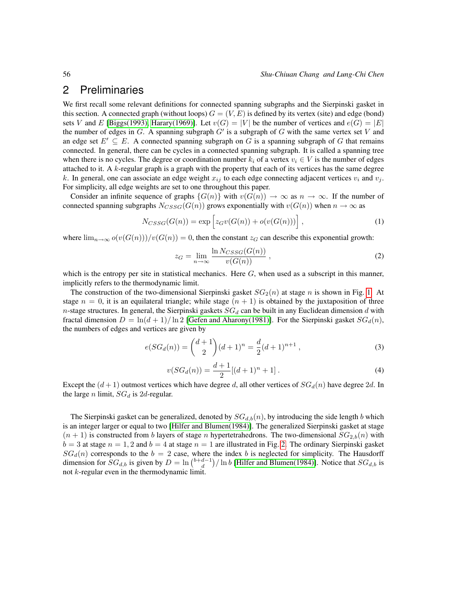### 2 Preliminaries

We first recall some relevant definitions for connected spanning subgraphs and the Sierpinski gasket in this section. A connected graph (without loops)  $G = (V, E)$  is defined by its vertex (site) and edge (bond) sets V and E [\[Biggs\(1993\),](#page-22-9) [Harary\(1969\)\]](#page-22-10). Let  $v(G) = |V|$  be the number of vertices and  $e(G) = |E|$ the number of edges in  $G$ . A spanning subgraph  $G'$  is a subgraph of  $G$  with the same vertex set  $V$  and an edge set  $E' \subseteq E$ . A connected spanning subgraph on G is a spanning subgraph of G that remains connected. In general, there can be cycles in a connected spanning subgraph. It is called a spanning tree when there is no cycles. The degree or coordination number  $k_i$  of a vertex  $v_i \in V$  is the number of edges attached to it. A  $k$ -regular graph is a graph with the property that each of its vertices has the same degree k. In general, one can associate an edge weight  $x_{ij}$  to each edge connecting adjacent vertices  $v_i$  and  $v_j$ . For simplicity, all edge weights are set to one throughout this paper.

Consider an infinite sequence of graphs  $\{G(n)\}\$  with  $v(G(n)) \to \infty$  as  $n \to \infty$ . If the number of connected spanning subgraphs  $N_{CSSG}(G(n))$  grows exponentially with  $v(G(n))$  when  $n \to \infty$  as

$$
N_{CSSG}(G(n)) = \exp\left[z_G v(G(n)) + o(v(G(n)))\right],\tag{1}
$$

where  $\lim_{n\to\infty}o(v(G(n)))/v(G(n)) = 0$ , then the constant  $z_G$  can describe this exponential growth:

<span id="page-1-0"></span>
$$
z_G = \lim_{n \to \infty} \frac{\ln N_{CSSG}(G(n))}{v(G(n))},
$$
\n(2)

which is the entropy per site in statistical mechanics. Here  $G$ , when used as a subscript in this manner, implicitly refers to the thermodynamic limit.

The construction of the two-dimensional Sierpinski gasket  $SG_2(n)$  at stage n is shown in Fig. [1.](#page-2-0) At stage  $n = 0$ , it is an equilateral triangle; while stage  $(n + 1)$  is obtained by the juxtaposition of three n-stage structures. In general, the Sierpinski gaskets  $SG_d$  can be built in any Euclidean dimension d with fractal dimension  $D = \ln(d+1)/\ln 2$  [\[Gefen and Aharony\(1981\)\]](#page-22-11). For the Sierpinski gasket  $SG_d(n)$ , the numbers of edges and vertices are given by

$$
e(SG_d(n)) = {d+1 \choose 2} (d+1)^n = \frac{d}{2}(d+1)^{n+1},
$$
\n(3)

<span id="page-1-1"></span>
$$
v(SG_d(n)) = \frac{d+1}{2}[(d+1)^n + 1].
$$
\n(4)

Except the  $(d+1)$  outmost vertices which have degree d, all other vertices of  $SG_d(n)$  have degree 2d. In the large *n* limit,  $SG_d$  is 2d-regular.

The Sierpinski gasket can be generalized, denoted by  $SG_{d,b}(n)$ , by introducing the side length b which is an integer larger or equal to two [\[Hilfer and Blumen\(1984\)\]](#page-22-12). The generalized Sierpinski gasket at stage  $(n + 1)$  is constructed from b layers of stage n hypertetrahedrons. The two-dimensional  $SG_{2,b}(n)$  with  $b = 3$  at stage  $n = 1, 2$  and  $b = 4$  at stage  $n = 1$  are illustrated in Fig. [2.](#page-2-1) The ordinary Sierpinski gasket  $SG_d(n)$  corresponds to the  $b = 2$  case, where the index b is neglected for simplicity. The Hausdorff dimension for  $SG_{d,b}$  is given by  $D = \ln \binom{b+d-1}{d} / \ln b$  [\[Hilfer and Blumen\(1984\)\]](#page-22-12). Notice that  $SG_{d,b}$  is not k-regular even in the thermodynamic limit.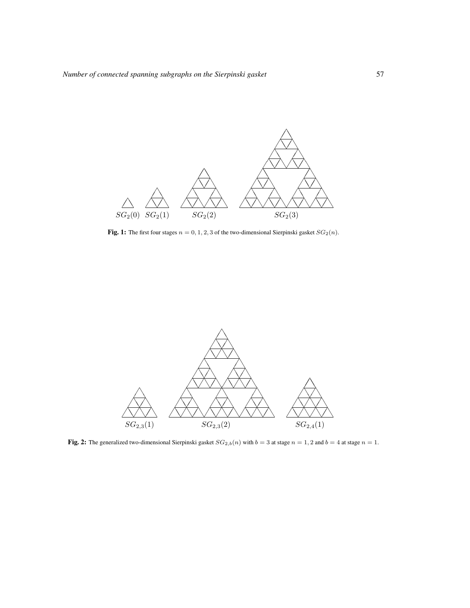

<span id="page-2-0"></span>Fig. 1: The first four stages  $n = 0, 1, 2, 3$  of the two-dimensional Sierpinski gasket  $SG_2(n)$ .



<span id="page-2-1"></span>Fig. 2: The generalized two-dimensional Sierpinski gasket  $SG_{2,b}(n)$  with  $b = 3$  at stage  $n = 1, 2$  and  $b = 4$  at stage  $n = 1$ .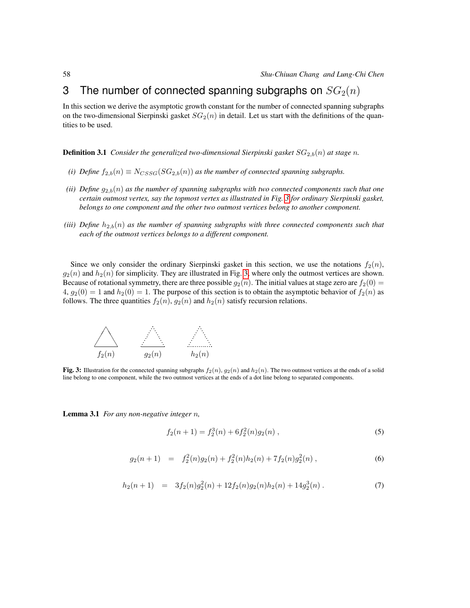## <span id="page-3-4"></span>3 The number of connected spanning subgraphs on  $SG<sub>2</sub>(n)$

In this section we derive the asymptotic growth constant for the number of connected spanning subgraphs on the two-dimensional Sierpinski gasket  $SG_2(n)$  in detail. Let us start with the definitions of the quantities to be used.

**Definition 3.1** *Consider the generalized two-dimensional Sierpinski gasket*  $SG_{2,b}(n)$  *at stage n.* 

- *(i) Define*  $f_{2,b}(n) \equiv N_{CSSG}(SG_{2,b}(n))$  *as the number of connected spanning subgraphs.*
- *(ii) Define*  $g_{2,b}(n)$  *as the number of spanning subgraphs with two connected components such that one certain outmost vertex, say the topmost vertex as illustrated in Fig. [3](#page-3-0) for ordinary Sierpinski gasket, belongs to one component and the other two outmost vertices belong to another component.*
- *(iii)* Define  $h_{2,b}(n)$  as the number of spanning subgraphs with three connected components such that *each of the outmost vertices belongs to a different component.*

Since we only consider the ordinary Sierpinski gasket in this section, we use the notations  $f_2(n)$ ,  $g_2(n)$  and  $h_2(n)$  for simplicity. They are illustrated in Fig. [3,](#page-3-0) where only the outmost vertices are shown. Because of rotational symmetry, there are three possible  $g_2(n)$ . The initial values at stage zero are  $f_2(0)$  =  $4, g_2(0) = 1$  and  $h_2(0) = 1$ . The purpose of this section is to obtain the asymptotic behavior of  $f_2(n)$  as follows. The three quantities  $f_2(n)$ ,  $g_2(n)$  and  $h_2(n)$  satisfy recursion relations.



<span id="page-3-0"></span>Fig. 3: Illustration for the connected spanning subgraphs  $f_2(n)$ ,  $g_2(n)$  and  $h_2(n)$ . The two outmost vertices at the ends of a solid line belong to one component, while the two outmost vertices at the ends of a dot line belong to separated components.

Lemma 3.1 *For any non-negative integer* n*,*

<span id="page-3-1"></span>
$$
f_2(n+1) = f_2^3(n) + 6f_2^2(n)g_2(n) , \qquad (5)
$$

<span id="page-3-2"></span>
$$
g_2(n+1) = f_2^2(n)g_2(n) + f_2^2(n)h_2(n) + 7f_2(n)g_2^2(n) , \qquad (6)
$$

<span id="page-3-3"></span>
$$
h_2(n+1) = 3f_2(n)g_2^2(n) + 12f_2(n)g_2(n)h_2(n) + 14g_2^3(n).
$$
 (7)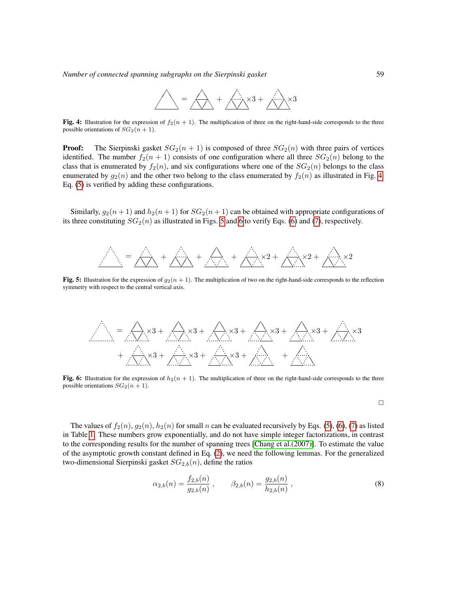

<span id="page-4-0"></span>Fig. 4: Illustration for the expression of  $f_2(n + 1)$ . The multiplication of three on the right-hand-side corresponds to the three possible orientations of  $SG_2(n + 1)$ .

**Proof:** The Sierpinski gasket  $SG_2(n + 1)$  is composed of three  $SG_2(n)$  with three pairs of vertices identified. The number  $f_2(n + 1)$  consists of one configuration where all three  $SG_2(n)$  belong to the class that is enumerated by  $f_2(n)$ , and six configurations where one of the  $SG_2(n)$  belongs to the class enumerated by  $g_2(n)$  and the other two belong to the class enumerated by  $f_2(n)$  as illustrated in Fig. [4.](#page-4-0) Eq. [\(5\)](#page-3-1) is verified by adding these configurations.

Similarly,  $g_2(n + 1)$  and  $h_2(n + 1)$  for  $SG_2(n + 1)$  can be obtained with appropriate configurations of its three constituting  $SG_2(n)$  as illustrated in Figs. [5](#page-4-1) and [6](#page-4-2) to verify Eqs. [\(6\)](#page-3-2) and [\(7\)](#page-3-3), respectively.



<span id="page-4-1"></span>Fig. 5: Illustration for the expression of  $g_2(n + 1)$ . The multiplication of two on the right-hand-side corresponds to the reflection symmetry with respect to the central vertical axis.

$$
\mathcal{L} = \bigoplus_{x} x3 + \bigoplus_{x} x3 + \bigoplus_{x} x3 + \bigoplus_{x} x3 + \bigoplus_{x} x3 + \bigoplus_{x} x3 + \bigoplus_{x} x3 + \bigoplus_{x} x3 + \bigoplus_{x} x3 + \bigoplus_{x} x3 + \bigoplus_{x} x3 + \bigoplus_{x} x3 + \bigoplus_{x} x3 + \bigoplus_{x} x3 + \bigoplus_{x} x3 + \bigoplus_{x} x3 + \bigoplus_{x} x3 + \bigoplus_{x} x3 + \bigoplus_{x} x3 + \bigoplus_{x} x3 + \bigoplus_{x} x3 + \bigoplus_{x} x3 + \bigoplus_{x} x3 + \bigoplus_{x} x3 + \bigoplus_{x} x3 + \bigoplus_{x} x3 + \bigoplus_{x} x3 + \bigoplus_{x} x3 + \bigoplus_{x} x3 + \bigoplus_{x} x3 + \bigoplus_{x} x3 + \bigoplus_{x} x3 + \bigoplus_{x} x3 + \bigoplus_{x} x3 + \bigoplus_{x} x3 + \bigoplus_{x} x3 + \bigoplus_{x} x3 + \bigoplus_{x} x3 + \bigoplus_{x} x3 + \bigoplus_{x} x3 + \bigoplus_{x} x3 + \bigoplus_{x} x3 + \bigoplus_{x} x3 + \bigoplus_{x} x3 + \bigoplus_{x} x3 + \bigoplus_{x} x3 + \bigoplus_{x} x3 + \bigoplus_{x} x3 + \bigoplus_{x} x3 + \bigoplus_{x} x3 + \bigoplus_{x} x3 + \bigoplus_{x} x3 + \bigoplus_{x} x3 + \bigoplus_{x} x3 + \bigoplus_{x} x3 + \bigoplus_{x} x3 + \bigoplus_{x} x3 + \bigoplus_{x} x3 + \bigoplus_{x} x3 + \bigoplus_{x} x3 + \bigoplus_{x} x3 + \bigoplus_{x} x3 + \bigoplus_{x} x3 + \bigoplus_{x} x3 + \bigoplus_{x} x3 + \bigoplus_{x} x3 + \bigoplus_{x} x3 + \bigoplus_{x} x3 + \bigoplus_{x} x3 + \bigoplus_{x} x3 + \bigoplus_{x} x3 + \bigoplus_{x} x3 + \bigoplus_{x} x3 + \bigoplus_{x} x3 + \bigoplus_{x} x3 + \bigopl
$$

<span id="page-4-2"></span>Fig. 6: Illustration for the expression of  $h_2(n + 1)$ . The multiplication of three on the right-hand-side corresponds to the three possible orientations  $SG_2(n + 1)$ .

 $\Box$ 

The values of  $f_2(n)$ ,  $g_2(n)$ ,  $h_2(n)$  for small n can be evaluated recursively by Eqs. [\(5\)](#page-3-1), [\(6\)](#page-3-2), [\(7\)](#page-3-3) as listed in Table [1.](#page-5-0) These numbers grow exponentially, and do not have simple integer factorizations, in contrast to the corresponding results for the number of spanning trees [\[Chang et al.\(2007\)\]](#page-22-13). To estimate the value of the asymptotic growth constant defined in Eq. [\(2\)](#page-1-0), we need the following lemmas. For the generalized two-dimensional Sierpinski gasket  $SG_{2,b}(n)$ , define the ratios

<span id="page-4-3"></span>
$$
\alpha_{2,b}(n) = \frac{f_{2,b}(n)}{g_{2,b}(n)}, \qquad \beta_{2,b}(n) = \frac{g_{2,b}(n)}{h_{2,b}(n)},
$$
\n(8)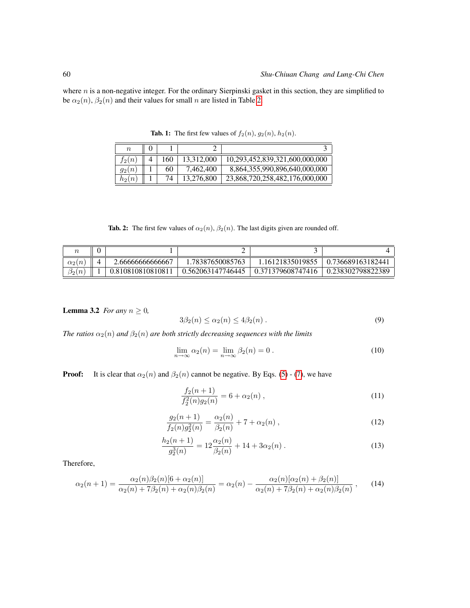where  $n$  is a non-negative integer. For the ordinary Sierpinski gasket in this section, they are simplified to be  $\alpha_2(n)$ ,  $\beta_2(n)$  and their values for small n are listed in Table [2.](#page-5-1)

| $\boldsymbol{n}$ |     |            |                                |
|------------------|-----|------------|--------------------------------|
| $t_2(n)$         | -60 | 13,312,000 | 10,293,452,839,321,600,000,000 |
| $g_2(n)$         | 60  | 7,462,400  | 8,864,355,990,896,640,000,000  |
| $h_2(n)$         | 74  | 13,276,800 | 23,868,720,258,482,176,000,000 |

<span id="page-5-0"></span>**Tab. 1:** The first few values of  $f_2(n)$ ,  $g_2(n)$ ,  $h_2(n)$ .

<span id="page-5-1"></span>Tab. 2: The first few values of  $\alpha_2(n)$ ,  $\beta_2(n)$ . The last digits given are rounded off.

| $\alpha_2(n)$           | 2.6666666666667   | 1.78387650085763  | 1.16121835019855  | 0.736689163182441 |
|-------------------------|-------------------|-------------------|-------------------|-------------------|
| $n_{\parallel}$<br>ا 20 | 0.810810810810811 | 0.562063147746445 | 0.371379608747416 | 0.238302798822389 |

<span id="page-5-5"></span>**Lemma 3.2** *For any*  $n \geq 0$ *,* 

$$
3\beta_2(n) \le \alpha_2(n) \le 4\beta_2(n). \tag{9}
$$

*The ratios*  $\alpha_2(n)$  *and*  $\beta_2(n)$  *are both strictly decreasing sequences with the limits* 

$$
\lim_{n \to \infty} \alpha_2(n) = \lim_{n \to \infty} \beta_2(n) = 0.
$$
\n(10)

**Proof:** It is clear that  $\alpha_2(n)$  and  $\beta_2(n)$  cannot be negative. By Eqs. [\(5\)](#page-3-1) - [\(7\)](#page-3-3), we have

<span id="page-5-3"></span>
$$
\frac{f_2(n+1)}{f_2^2(n)g_2(n)} = 6 + \alpha_2(n) ,
$$
\n(11)

<span id="page-5-4"></span>
$$
\frac{g_2(n+1)}{f_2(n)g_2^2(n)} = \frac{\alpha_2(n)}{\beta_2(n)} + 7 + \alpha_2(n) ,\qquad (12)
$$

$$
\frac{h_2(n+1)}{g_2^3(n)} = 12 \frac{\alpha_2(n)}{\beta_2(n)} + 14 + 3\alpha_2(n) .
$$
 (13)

Therefore,

<span id="page-5-2"></span>
$$
\alpha_2(n+1) = \frac{\alpha_2(n)\beta_2(n)[6+\alpha_2(n)]}{\alpha_2(n) + 7\beta_2(n) + \alpha_2(n)\beta_2(n)} = \alpha_2(n) - \frac{\alpha_2(n)[\alpha_2(n) + \beta_2(n)]}{\alpha_2(n) + 7\beta_2(n) + \alpha_2(n)\beta_2(n)},\tag{14}
$$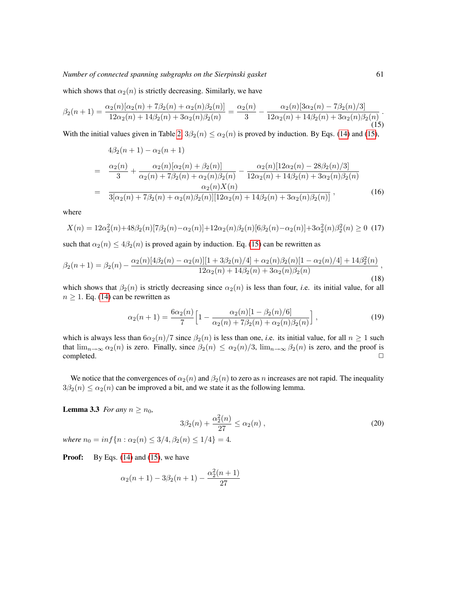which shows that  $\alpha_2(n)$  is strictly decreasing. Similarly, we have

<span id="page-6-0"></span>
$$
\beta_2(n+1) = \frac{\alpha_2(n)[\alpha_2(n) + 7\beta_2(n) + \alpha_2(n)\beta_2(n)]}{12\alpha_2(n) + 14\beta_2(n) + 3\alpha_2(n)\beta_2(n)} = \frac{\alpha_2(n)}{3} - \frac{\alpha_2(n)[3\alpha_2(n) - 7\beta_2(n)/3]}{12\alpha_2(n) + 14\beta_2(n) + 3\alpha_2(n)\beta_2(n)}.
$$
\n(15)

With the initial values given in Table [2,](#page-5-1)  $3\beta_2(n) \leq \alpha_2(n)$  is proved by induction. By Eqs. [\(14\)](#page-5-2) and [\(15\)](#page-6-0),

$$
4\beta_2(n+1) - \alpha_2(n+1)
$$
  
= 
$$
\frac{\alpha_2(n)}{3} + \frac{\alpha_2(n)[\alpha_2(n) + \beta_2(n)]}{\alpha_2(n) + 7\beta_2(n) + \alpha_2(n)\beta_2(n)} - \frac{\alpha_2(n)[12\alpha_2(n) - 28\beta_2(n)/3]}{12\alpha_2(n) + 14\beta_2(n) + 3\alpha_2(n)\beta_2(n)}
$$
  
= 
$$
\frac{\alpha_2(n)X(n)}{3[\alpha_2(n) + 7\beta_2(n) + \alpha_2(n)\beta_2(n)][12\alpha_2(n) + 14\beta_2(n) + 3\alpha_2(n)\beta_2(n)]},
$$
(16)

where

$$
X(n) = 12\alpha_2^2(n) + 48\beta_2(n)[7\beta_2(n) - \alpha_2(n)] + 12\alpha_2(n)\beta_2(n)[6\beta_2(n) - \alpha_2(n)] + 3\alpha_2^2(n)\beta_2^2(n) \ge 0
$$
 (17)

such that  $\alpha_2(n) \leq 4\beta_2(n)$  is proved again by induction. Eq. [\(15\)](#page-6-0) can be rewritten as

$$
\beta_2(n+1) = \beta_2(n) - \frac{\alpha_2(n)[4\beta_2(n) - \alpha_2(n)][1 + 3\beta_2(n)/4] + \alpha_2(n)\beta_2(n)[1 - \alpha_2(n)/4] + 14\beta_2(n)}{12\alpha_2(n) + 14\beta_2(n) + 3\alpha_2(n)\beta_2(n)},
$$
\n(18)

which shows that  $\beta_2(n)$  is strictly decreasing since  $\alpha_2(n)$  is less than four, *i.e.* its initial value, for all  $n \geq 1$ . Eq. [\(14\)](#page-5-2) can be rewritten as

$$
\alpha_2(n+1) = \frac{6\alpha_2(n)}{7} \Big[ 1 - \frac{\alpha_2(n)[1 - \beta_2(n)/6]}{\alpha_2(n) + 7\beta_2(n) + \alpha_2(n)\beta_2(n)} \Big],
$$
\n(19)

which is always less than  $6\alpha_2(n)/7$  since  $\beta_2(n)$  is less than one, *i.e.* its initial value, for all  $n \ge 1$  such that  $\lim_{n\to\infty} \alpha_2(n)$  is zero. Finally, since  $\beta_2(n) \leq \alpha_2(n)/3$ ,  $\lim_{n\to\infty} \beta_2(n)$  is zero, and the proof is  $\Box$ completed.  $\Box$ 

We notice that the convergences of  $\alpha_2(n)$  and  $\beta_2(n)$  to zero as n increases are not rapid. The inequality  $3\beta_2(n) \leq \alpha_2(n)$  can be improved a bit, and we state it as the following lemma.

**Lemma 3.3** *For any*  $n \ge n_0$ *,* 

$$
3\beta_2(n) + \frac{\alpha_2^2(n)}{27} \le \alpha_2(n) ,
$$
  
where  $n_0 = \inf\{n : \alpha_2(n) \le 3/4, \beta_2(n) \le 1/4\} = 4.$  (20)

**Proof:** By Eqs. [\(14\)](#page-5-2) and [\(15\)](#page-6-0), we have

<span id="page-6-1"></span>
$$
\alpha_2(n+1) - 3\beta_2(n+1) - \frac{\alpha_2^2(n+1)}{27}
$$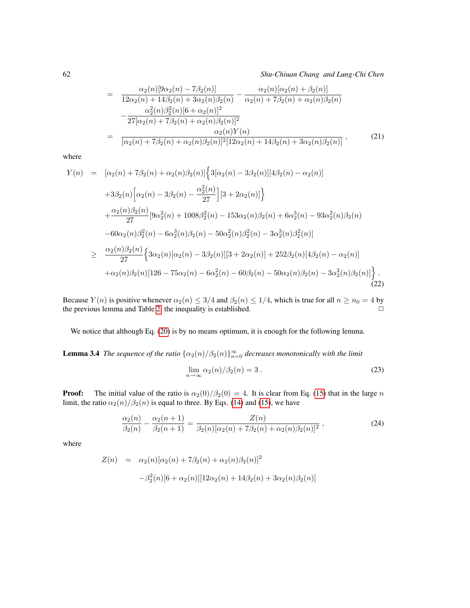62 *Shu-Chiuan Chang and Lung-Chi Chen*

$$
= \frac{\alpha_2(n)[9\alpha_2(n) - 7\beta_2(n)]}{12\alpha_2(n) + 14\beta_2(n) + 3\alpha_2(n)\beta_2(n)} - \frac{\alpha_2(n)[\alpha_2(n) + \beta_2(n)]}{\alpha_2(n) + 7\beta_2(n) + \alpha_2(n)\beta_2(n)}
$$

$$
- \frac{\alpha_2^2(n)\beta_2^2(n)[6 + \alpha_2(n)]^2}{27[\alpha_2(n) + 7\beta_2(n) + \alpha_2(n)\beta_2(n)]^2}
$$

$$
= \frac{\alpha_2(n)Y(n)}{[\alpha_2(n) + 7\beta_2(n) + \alpha_2(n)\beta_2(n)]^2[12\alpha_2(n) + 14\beta_2(n) + 3\alpha_2(n)\beta_2(n)]},
$$
(21)

where

$$
Y(n) = [\alpha_2(n) + 7\beta_2(n) + \alpha_2(n)\beta_2(n)] \Big\{ 3[\alpha_2(n) - 3\beta_2(n)][4\beta_2(n) - \alpha_2(n)]
$$
  
+3 $\beta_2(n) [\alpha_2(n) - 3\beta_2(n) - \frac{\alpha_2^2(n)}{27}][3 + 2\alpha_2(n)] \Big\}$   
+ $\frac{\alpha_2(n)\beta_2(n)}{27} [9\alpha_2^2(n) + 1008\beta_2^2(n) - 153\alpha_2(n)\beta_2(n) + 6\alpha_2^3(n) - 93\alpha_2^2(n)\beta_2(n)$   
-60 $\alpha_2(n)\beta_2^2(n) - 6\alpha_2^3(n)\beta_2(n) - 50\alpha_2^2(n)\beta_2^2(n) - 3\alpha_2^3(n)\beta_2^2(n)]$   

$$
\geq \frac{\alpha_2(n)\beta_2(n)}{27} \Big\{ 3\alpha_2(n)[\alpha_2(n) - 3\beta_2(n)][3 + 2\alpha_2(n)] + 252\beta_2(n)[4\beta_2(n) - \alpha_2(n)]
$$
  
+ $\alpha_2(n)\beta_2(n)[126 - 75\alpha_2(n) - 6\alpha_2^2(n) - 60\beta_2(n) - 50\alpha_2(n)\beta_2(n) - 3\alpha_2^2(n)\beta_2(n)] \Big\}.$  (22)

Because  $Y(n)$  is positive whenever  $\alpha_2(n) \leq 3/4$  and  $\beta_2(n) \leq 1/4$ , which is true for all  $n \geq n_0 = 4$  by the previous lemma and Table 2, the inequality is established the previous lemma and Table [2,](#page-5-1) the inequality is established.

We notice that although Eq. [\(20\)](#page-6-1) is by no means optimum, it is enough for the following lemma.

<span id="page-7-0"></span>**Lemma 3.4** *The sequence of the ratio*  $\{\alpha_2(n)/\beta_2(n)\}_{n=0}^{\infty}$  decreases monotonically with the limit

$$
\lim_{n \to \infty} \alpha_2(n) / \beta_2(n) = 3.
$$
\n(23)

**Proof:** The initial value of the ratio is  $\alpha_2(0)/\beta_2(0) = 4$ . It is clear from Eq. [\(15\)](#page-6-0) that in the large n limit, the ratio  $\alpha_2(n)/\beta_2(n)$  is equal to three. By Eqs. [\(14\)](#page-5-2) and [\(15\)](#page-6-0), we have

$$
\frac{\alpha_2(n)}{\beta_2(n)} - \frac{\alpha_2(n+1)}{\beta_2(n+1)} = \frac{Z(n)}{\beta_2(n)[\alpha_2(n) + 7\beta_2(n) + \alpha_2(n)\beta_2(n)]^2},
$$
\n(24)

where

$$
Z(n) = \alpha_2(n)[\alpha_2(n) + 7\beta_2(n) + \alpha_2(n)\beta_2(n)]^2
$$

$$
-\beta_2^2(n)[6 + \alpha_2(n)][12\alpha_2(n) + 14\beta_2(n) + 3\alpha_2(n)\beta_2(n)]
$$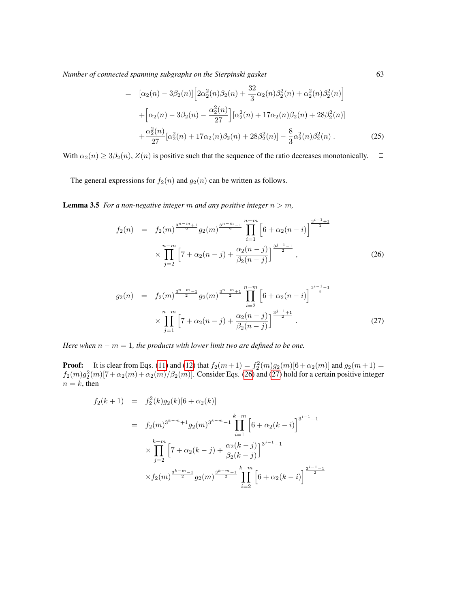$$
= [\alpha_2(n) - 3\beta_2(n)] \Big[ 2\alpha_2^2(n)\beta_2(n) + \frac{32}{3}\alpha_2(n)\beta_2^2(n) + \alpha_2^2(n)\beta_2^2(n) \Big] + \Big[ \alpha_2(n) - 3\beta_2(n) - \frac{\alpha_2^2(n)}{27} \Big] [\alpha_2^2(n) + 17\alpha_2(n)\beta_2(n) + 28\beta_2^2(n)] + \frac{\alpha_2^2(n)}{27} [\alpha_2^2(n) + 17\alpha_2(n)\beta_2(n) + 28\beta_2^2(n)] - \frac{8}{3}\alpha_2^2(n)\beta_2^2(n) .
$$
 (25)

With  $\alpha_2(n) \geq 3\beta_2(n)$ ,  $Z(n)$  is positive such that the sequence of the ratio decreases monotonically.  $\Box$ 

The general expressions for  $f_2(n)$  and  $g_2(n)$  can be written as follows.

<span id="page-8-2"></span>**Lemma 3.5** *For a non-negative integer*  $m$  *and any positive integer*  $n > m$ *,* 

<span id="page-8-0"></span>
$$
f_2(n) = f_2(m)^{\frac{3^{n-m}+1}{2}} g_2(m)^{\frac{3^{n-m}-1}{2}} \prod_{i=1}^{n-m} \left[ 6 + \alpha_2(n-i) \right]^{\frac{3^{i-1}+1}{2}}
$$

$$
\times \prod_{j=2}^{n-m} \left[ 7 + \alpha_2(n-j) + \frac{\alpha_2(n-j)}{\beta_2(n-j)} \right]^{\frac{3^{j-1}-1}{2}}, \qquad (26)
$$

<span id="page-8-1"></span>
$$
g_2(n) = f_2(m)^{\frac{3^{n-m}-1}{2}} g_2(m)^{\frac{3^{n-m}+1}{2}} \prod_{i=2}^{n-m} \left[ 6 + \alpha_2(n-i) \right]^{\frac{3^{i-1}-1}{2}}
$$

$$
\times \prod_{j=1}^{n-m} \left[ 7 + \alpha_2(n-j) + \frac{\alpha_2(n-j)}{\beta_2(n-j)} \right]^{\frac{3^{j-1}+1}{2}}.
$$
 (27)

*Here when*  $n - m = 1$ *, the products with lower limit two are defined to be one.* 

**Proof:** It is clear from Eqs. [\(11\)](#page-5-3) and [\(12\)](#page-5-4) that  $f_2(m+1) = f_2^2(m)g_2(m)[6+\alpha_2(m)]$  and  $g_2(m+1) =$  $f_2(m)g_2^2(m)[7+\alpha_2(m)+\alpha_2(m)/\beta_2(m)]$ . Consider Eqs. [\(26\)](#page-8-0) and [\(27\)](#page-8-1) hold for a certain positive integer  $n = k$ , then

$$
f_2(k+1) = f_2^2(k)g_2(k)[6+\alpha_2(k)]
$$
  
\n
$$
= f_2(m)^{3^{k-m}+1}g_2(m)^{3^{k-m}-1} \prod_{i=1}^{k-m} \left[6+\alpha_2(k-i)\right]^{3^{i-1}+1}
$$
  
\n
$$
\times \prod_{j=2}^{k-m} \left[7+\alpha_2(k-j)+\frac{\alpha_2(k-j)}{\beta_2(k-j)}\right]^{3^{j-1}-1}
$$
  
\n
$$
\times f_2(m)^{\frac{3^{k-m}-1}{2}}g_2(m)^{\frac{3^{k-m}+1}{2}} \prod_{i=2}^{k-m} \left[6+\alpha_2(k-i)\right]^{\frac{3^{i-1}-1}{2}}
$$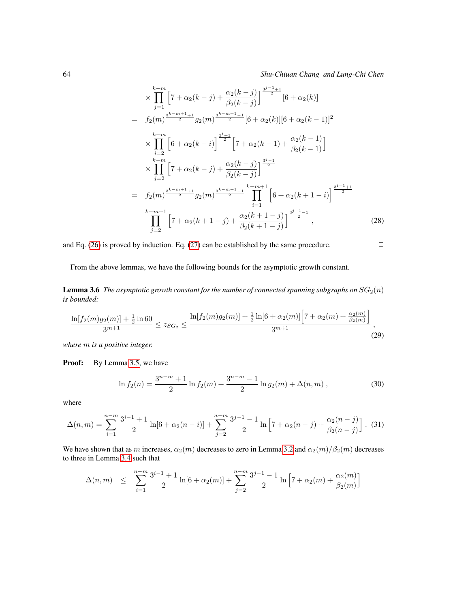$$
\times \prod_{j=1}^{k-m} \left[ 7 + \alpha_2(k-j) + \frac{\alpha_2(k-j)}{\beta_2(k-j)} \right]^{\frac{j^{j-1}+1}{2}} [6 + \alpha_2(k)]
$$
  
\n
$$
= f_2(m)^{\frac{3^{k-m+1}+1}{2}} g_2(m)^{\frac{3^{k-m+1}-1}{2}} [6 + \alpha_2(k)][6 + \alpha_2(k-1)]^2
$$
  
\n
$$
\times \prod_{i=2}^{k-m} \left[ 6 + \alpha_2(k-i) \right]^{\frac{j^{i+1}}{2}} \left[ 7 + \alpha_2(k-1) + \frac{\alpha_2(k-1)}{\beta_2(k-1)} \right]
$$
  
\n
$$
\times \prod_{j=2}^{k-m} \left[ 7 + \alpha_2(k-j) + \frac{\alpha_2(k-j)}{\beta_2(k-j)} \right]^{\frac{j^{j-1}}{2}}
$$
  
\n
$$
= f_2(m)^{\frac{3^{k-m+1}+1}{2}} g_2(m)^{\frac{3^{k-m+1}-1}{2}} \prod_{i=1}^{k-m+1} \left[ 6 + \alpha_2(k+1-i) \right]^{\frac{j^{i-1}+1}{2}}
$$
  
\n
$$
\prod_{j=2}^{k-m+1} \left[ 7 + \alpha_2(k+1-j) + \frac{\alpha_2(k+1-j)}{\beta_2(k+1-j)} \right]^{\frac{j^{j-1}-1}{2}}, \qquad (28)
$$

and Eq. [\(26\)](#page-8-0) is proved by induction. Eq. [\(27\)](#page-8-1) can be established by the same procedure.  $\Box$ 

From the above lemmas, we have the following bounds for the asymptotic growth constant.

<span id="page-9-1"></span>**Lemma 3.6** *The asymptotic growth constant for the number of connected spanning subgraphs on*  $SG_2(n)$ *is bounded:*

<span id="page-9-0"></span>
$$
\frac{\ln[f_2(m)g_2(m)] + \frac{1}{2}\ln 60}{3^{m+1}} \le z_{SG_2} \le \frac{\ln[f_2(m)g_2(m)] + \frac{1}{2}\ln[6 + \alpha_2(m)] \Big[7 + \alpha_2(m) + \frac{\alpha_2(m)}{\beta_2(m)}\Big]}{3^{m+1}},
$$
\n(29)

*where* m *is a positive integer.*

Proof: By Lemma [3.5,](#page-8-2) we have

$$
\ln f_2(n) = \frac{3^{n-m} + 1}{2} \ln f_2(m) + \frac{3^{n-m} - 1}{2} \ln g_2(m) + \Delta(n, m) , \qquad (30)
$$

where

$$
\Delta(n,m) = \sum_{i=1}^{n-m} \frac{3^{i-1} + 1}{2} \ln[6 + \alpha_2(n-i)] + \sum_{j=2}^{n-m} \frac{3^{j-1} - 1}{2} \ln\left[7 + \alpha_2(n-j) + \frac{\alpha_2(n-j)}{\beta_2(n-j)}\right].
$$
 (31)

We have shown that as m increases,  $\alpha_2(m)$  decreases to zero in Lemma [3.2](#page-5-5) and  $\alpha_2(m)/\beta_2(m)$  decreases to three in Lemma [3.4](#page-7-0) such that

$$
\Delta(n,m) \leq \sum_{i=1}^{n-m} \frac{3^{i-1} + 1}{2} \ln[6 + \alpha_2(m)] + \sum_{j=2}^{n-m} \frac{3^{j-1} - 1}{2} \ln\left[7 + \alpha_2(m) + \frac{\alpha_2(m)}{\beta_2(m)}\right]
$$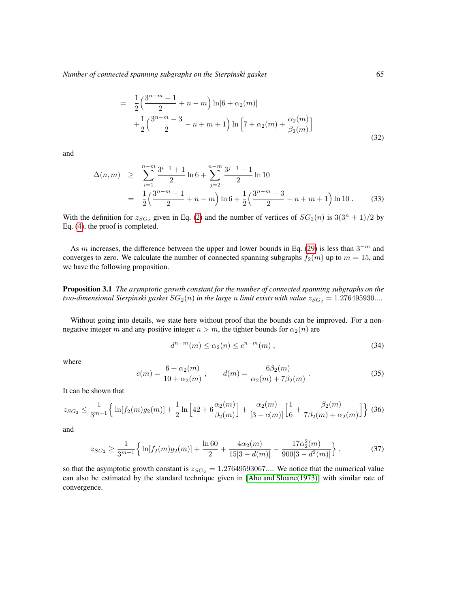$$
= \frac{1}{2} \left( \frac{3^{n-m}-1}{2} + n - m \right) \ln[6 + \alpha_2(m)] + \frac{1}{2} \left( \frac{3^{n-m}-3}{2} - n + m + 1 \right) \ln \left[ 7 + \alpha_2(m) + \frac{\alpha_2(m)}{\beta_2(m)} \right]
$$
\n(32)

and

$$
\Delta(n,m) \geq \sum_{i=1}^{n-m} \frac{3^{i-1} + 1}{2} \ln 6 + \sum_{j=2}^{n-m} \frac{3^{j-1} - 1}{2} \ln 10
$$
  
= 
$$
\frac{1}{2} \left( \frac{3^{n-m} - 1}{2} + n - m \right) \ln 6 + \frac{1}{2} \left( \frac{3^{n-m} - 3}{2} - n + m + 1 \right) \ln 10.
$$
 (33)

With the definition for  $z_{SG_2}$  given in Eq. [\(2\)](#page-1-0) and the number of vertices of  $SG_2(n)$  is  $3(3^n + 1)/2$  by Eq. [\(4\)](#page-1-1), the proof is completed.  $\Box$ 

As m increases, the difference between the upper and lower bounds in Eq. [\(29\)](#page-9-0) is less than  $3^{-m}$  and converges to zero. We calculate the number of connected spanning subgraphs  $f_2(m)$  up to  $m = 15$ , and we have the following proposition.

Proposition 3.1 *The asymptotic growth constant for the number of connected spanning subgraphs on the two-dimensional Sierpinski gasket*  $SG_2(n)$  *in the large n limit exists with value*  $z_{SG_2} = 1.276495930...$ 

Without going into details, we state here without proof that the bounds can be improved. For a nonnegative integer m and any positive integer  $n > m$ , the tighter bounds for  $\alpha_2(n)$  are

$$
d^{n-m}(m) \le \alpha_2(n) \le c^{n-m}(m) , \qquad (34)
$$

where

$$
c(m) = \frac{6 + \alpha_2(m)}{10 + \alpha_2(m)}, \qquad d(m) = \frac{6\beta_2(m)}{\alpha_2(m) + 7\beta_2(m)}.
$$
 (35)

It can be shown that

$$
z_{SG_2} \le \frac{1}{3^{m+1}} \Big\{ \ln[f_2(m)g_2(m)] + \frac{1}{2} \ln \Big[ 42 + 6 \frac{\alpha_2(m)}{\beta_2(m)} \Big] + \frac{\alpha_2(m)}{[3 - c(m)]} \Big[ \frac{1}{6} + \frac{\beta_2(m)}{7\beta_2(m) + \alpha_2(m)} \Big] \Big\} \tag{36}
$$

and

$$
z_{SG_2} \ge \frac{1}{3^{m+1}} \left\{ \ln[f_2(m)g_2(m)] + \frac{\ln 60}{2} + \frac{4\alpha_2(m)}{15[3 - d(m)]} - \frac{17\alpha_2^2(m)}{900[3 - d^2(m)]} \right\},\tag{37}
$$

so that the asymptotic growth constant is  $z_{SG_2} = 1.27649593067...$  We notice that the numerical value can also be estimated by the standard technique given in [\[Aho and Sloane\(1973\)\]](#page-22-14) with similar rate of convergence.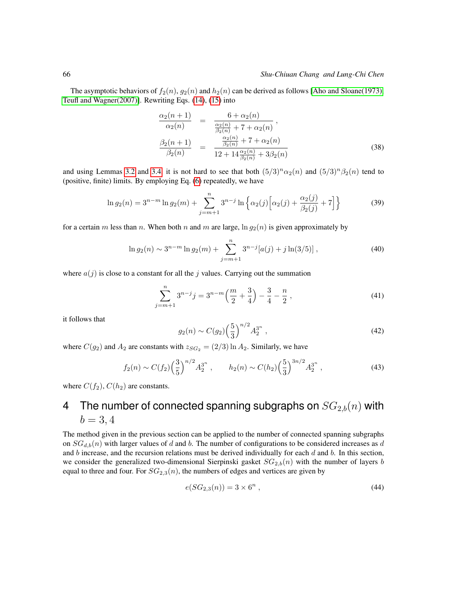The asymptotic behaviors of  $f_2(n)$ ,  $g_2(n)$  and  $h_2(n)$  can be derived as follows [\[Aho and Sloane\(1973\),](#page-22-14) [Teufl and Wagner\(2007\)\]](#page-22-15). Rewriting Eqs. [\(14\)](#page-5-2), [\(15\)](#page-6-0) into

$$
\frac{\alpha_2(n+1)}{\alpha_2(n)} = \frac{6 + \alpha_2(n)}{\frac{\alpha_2(n)}{\beta_2(n)} + 7 + \alpha_2(n)},
$$
\n
$$
\frac{\beta_2(n+1)}{\beta_2(n)} = \frac{\frac{\alpha_2(n)}{\beta_2(n)} + 7 + \alpha_2(n)}{12 + 14\frac{\alpha_2(n)}{\beta_2(n)} + 3\beta_2(n)} \tag{38}
$$

and using Lemmas [3.2](#page-5-5) and [3.4,](#page-7-0) it is not hard to see that both  $(5/3)^n \alpha_2(n)$  and  $(5/3)^n \beta_2(n)$  tend to (positive, finite) limits. By employing Eq. [\(6\)](#page-3-2) repeatedly, we have

$$
\ln g_2(n) = 3^{n-m} \ln g_2(m) + \sum_{j=m+1}^n 3^{n-j} \ln \left\{ \alpha_2(j) \left[ \alpha_2(j) + \frac{\alpha_2(j)}{\beta_2(j)} + 7 \right] \right\}
$$
(39)

for a certain m less than n. When both n and m are large,  $\ln g_2(n)$  is given approximately by

$$
\ln g_2(n) \sim 3^{n-m} \ln g_2(m) + \sum_{j=m+1}^n 3^{n-j} [a(j) + j \ln(3/5)], \qquad (40)
$$

where  $a(j)$  is close to a constant for all the j values. Carrying out the summation

$$
\sum_{j=m+1}^{n} 3^{n-j} j = 3^{n-m} \left(\frac{m}{2} + \frac{3}{4}\right) - \frac{3}{4} - \frac{n}{2},\tag{41}
$$

it follows that

$$
g_2(n) \sim C(g_2) \left(\frac{5}{3}\right)^{n/2} A_2^{3^n} \tag{42}
$$

where  $C(g_2)$  and  $A_2$  are constants with  $z_{SG_2} = (2/3) \ln A_2$ . Similarly, we have

$$
f_2(n) \sim C(f_2) \left(\frac{3}{5}\right)^{n/2} A_2^{3^n}, \qquad h_2(n) \sim C(h_2) \left(\frac{5}{3}\right)^{3n/2} A_2^{3^n},
$$
 (43)

where  $C(f_2)$ ,  $C(h_2)$  are constants.

# 4 The number of connected spanning subgraphs on  $SG_{2,b}(n)$  with  $b = 3, 4$

The method given in the previous section can be applied to the number of connected spanning subgraphs on  $SG_{d,b}(n)$  with larger values of d and b. The number of configurations to be considered increases as d and b increase, and the recursion relations must be derived individually for each  $d$  and  $b$ . In this section, we consider the generalized two-dimensional Sierpinski gasket  $SG_{2,b}(n)$  with the number of layers b equal to three and four. For  $SG_{2,3}(n)$ , the numbers of edges and vertices are given by

$$
e(SG_{2,3}(n)) = 3 \times 6^n , \t\t(44)
$$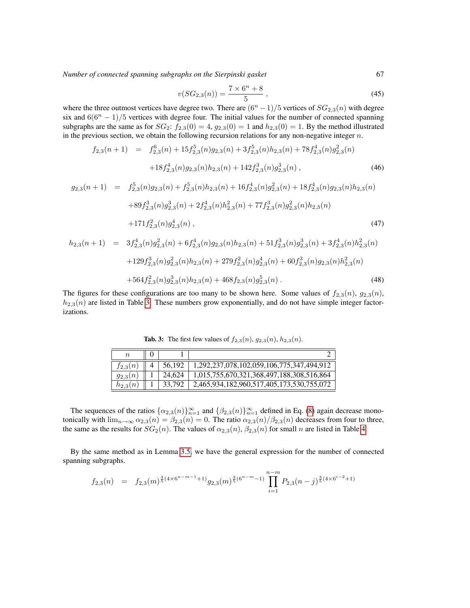$$
v(SG_{2,3}(n)) = \frac{7 \times 6^n + 8}{5},
$$
\n(45)

where the three outmost vertices have degree two. There are  $(6<sup>n</sup> - 1)/5$  vertices of  $SG_{2,3}(n)$  with degree six and  $6(6^n - 1)/5$  vertices with degree four. The initial values for the number of connected spanning subgraphs are the same as for  $SG_2$ :  $f_{2,3}(0) = 4$ ,  $g_{2,3}(0) = 1$  and  $h_{2,3}(0) = 1$ . By the method illustrated in the previous section, we obtain the following recursion relations for any non-negative integer  $n$ .

$$
f_{2,3}(n+1) = f_{2,3}^{6}(n) + 15f_{2,3}^{5}(n)g_{2,3}(n) + 3f_{2,3}^{5}(n)h_{2,3}(n) + 78f_{2,3}^{4}(n)g_{2,3}^{2}(n)
$$

$$
+ 18f_{2,3}^{4}(n)g_{2,3}(n)h_{2,3}(n) + 142f_{2,3}^{3}(n)g_{2,3}^{3}(n), \qquad (46)
$$

$$
g_{2,3}(n+1) = f_{2,3}^{5}(n)g_{2,3}(n) + f_{2,3}^{5}(n)h_{2,3}(n) + 16f_{2,3}^{4}(n)g_{2,3}^{2}(n) + 18f_{2,3}^{4}(n)g_{2,3}(n)h_{2,3}(n)
$$
  
+89f\_{2,3}^{3}(n)g\_{2,3}^{3}(n) + 2f\_{2,3}^{4}(n)h\_{2,3}^{2}(n) + 77f\_{2,3}^{3}(n)g\_{2,3}^{2}(n)h\_{2,3}(n)  
+171f\_{2,3}^{2}(n)g\_{2,3}^{4}(n), (47)  

$$
h_{2,3}(n+1) = 3f_{2,3}^{4}(n)g_{2,3}^{2}(n) + 6f_{2,3}^{4}(n)g_{2,3}(n)h_{2,3}(n) + 51f_{2,3}^{3}(n)g_{2,3}^{3}(n) + 3f_{2,3}^{4}(n)h_{2,3}^{2}(n)
$$
  
+129f\_{2,3}^{3}(n)g\_{2,3}^{2}(n)h\_{2,3}(n) + 279f\_{2,3}^{2}(n)g\_{2,3}^{4}(n) + 60f\_{2,3}^{3}(n)g\_{2,3}(n)h\_{2,3}^{2}(n)

$$
+564f_{2,3}^2(n)g_{2,3}^3(n)h_{2,3}(n) + 468f_{2,3}(n)g_{2,3}^5(n). \tag{48}
$$

The figures for these configurations are too many to be shown here. Some values of  $f_{2,3}(n)$ ,  $g_{2,3}(n)$ ,  $h_{2,3}(n)$  are listed in Table [3.](#page-12-0) These numbers grow exponentially, and do not have simple integer factorizations.

| $\it n$      |        |                                           |
|--------------|--------|-------------------------------------------|
| $t_{2,3}(n)$ | 56.192 | 1,292,237,078,102,059,106,775,347,494,912 |
| $g_{2,3}(n)$ | 24,624 | 1,015,755,670,321,368,497,188,308,516,864 |
| $h_{2,3}$    | 33.792 | 2,465,934,182,960,517,405,173,530,755,072 |

<span id="page-12-0"></span>**Tab. 3:** The first few values of  $f_{2,3}(n)$ ,  $g_{2,3}(n)$ ,  $h_{2,3}(n)$ .

The sequences of the ratios  $\{\alpha_{2,3}(n)\}_{n=1}^{\infty}$  and  $\{\beta_{2,3}(n)\}_{n=1}^{\infty}$  defined in Eq. [\(8\)](#page-4-3) again decrease monotonically with  $\lim_{n\to\infty} \alpha_{2,3}(n) = \beta_{2,3}(n) = 0$ . The ratio  $\alpha_{2,3}(n)/\beta_{2,3}(n)$  decreases from four to three, the same as the results for  $SG_2(n)$ . The values of  $\alpha_{2,3}(n)$ ,  $\beta_{2,3}(n)$  for small n are listed in Table [4.](#page-13-0)

By the same method as in Lemma [3.5,](#page-8-2) we have the general expression for the number of connected spanning subgraphs.

$$
f_{2,3}(n) = f_{2,3}(m)^{\frac{3}{5}(4\times 6^{n-m-1}+1)}g_{2,3}(m)^{\frac{3}{5}(6^{n-m}-1)}\prod_{i=1}^{n-m}P_{2,3}(n-j)^{\frac{3}{5}(4\times 6^{i-2}+1)}
$$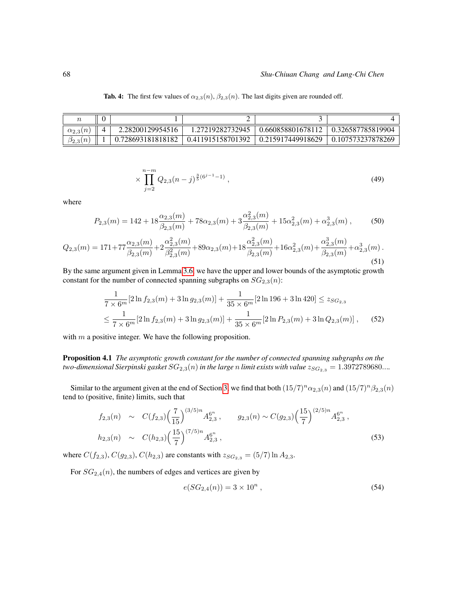| $\alpha_{2,3}(n)$ | 2.28200129954516  | 1.27219282732945  | 0.660858801678112 | 0.326587785819904 |
|-------------------|-------------------|-------------------|-------------------|-------------------|
| $\beta_{2,3}(n)$  | 0.728693181818182 | 0.411915158701392 | 0.215917449918629 | 0.107573237878269 |

<span id="page-13-0"></span>Tab. 4: The first few values of  $\alpha_{2,3}(n)$ ,  $\beta_{2,3}(n)$ . The last digits given are rounded off.

$$
\times \prod_{j=2}^{n-m} Q_{2,3}(n-j)^{\frac{3}{5}(6^{j-1}-1)}, \tag{49}
$$

where

$$
P_{2,3}(m) = 142 + 18 \frac{\alpha_{2,3}(m)}{\beta_{2,3}(m)} + 78 \alpha_{2,3}(m) + 3 \frac{\alpha_{2,3}^2(m)}{\beta_{2,3}(m)} + 15 \alpha_{2,3}^2(m) + \alpha_{2,3}^3(m) ,\tag{50}
$$

$$
Q_{2,3}(m) = 171 + 77 \frac{\alpha_{2,3}(m)}{\beta_{2,3}(m)} + 2 \frac{\alpha_{2,3}^2(m)}{\beta_{2,3}^2(m)} + 89 \alpha_{2,3}(m) + 18 \frac{\alpha_{2,3}^2(m)}{\beta_{2,3}(m)} + 16 \alpha_{2,3}^2(m) + \frac{\alpha_{2,3}^3(m)}{\beta_{2,3}(m)} + \alpha_{2,3}^3(m) \tag{51}
$$

By the same argument given in Lemma [3.6,](#page-9-1) we have the upper and lower bounds of the asymptotic growth constant for the number of connected spanning subgraphs on  $SG_{2,3}(n)$ :

$$
\frac{1}{7 \times 6^m} [2 \ln f_{2,3}(m) + 3 \ln g_{2,3}(m)] + \frac{1}{35 \times 6^m} [2 \ln 196 + 3 \ln 420] \le z_{SG_{2,3}} \le \frac{1}{7 \times 6^m} [2 \ln f_{2,3}(m) + 3 \ln g_{2,3}(m)] + \frac{1}{35 \times 6^m} [2 \ln P_{2,3}(m) + 3 \ln Q_{2,3}(m)] ,
$$
 (52)

with  $m$  a positive integer. We have the following proposition.

Proposition 4.1 *The asymptotic growth constant for the number of connected spanning subgraphs on the two-dimensional Sierpinski gasket*  $SG_{2,3}(n)$  *in the large n limit exists with value*  $z_{SG_{2,3}} = 1.3972789680...$ 

Similar to the argument given at the end of Section [3,](#page-3-4) we find that both  $(15/7)^n \alpha_{2,3}(n)$  and  $(15/7)^n \beta_{2,3}(n)$ tend to (positive, finite) limits, such that

$$
f_{2,3}(n) \sim C(f_{2,3}) \left(\frac{7}{15}\right)^{(3/5)n} A_{2,3}^{6^n}, \qquad g_{2,3}(n) \sim C(g_{2,3}) \left(\frac{15}{7}\right)^{(2/5)n} A_{2,3}^{6^n},
$$
  
\n
$$
h_{2,3}(n) \sim C(h_{2,3}) \left(\frac{15}{7}\right)^{(7/5)n} A_{2,3}^{6^n},
$$
\n(53)

where  $C(f_{2,3}), C(g_{2,3}), C(h_{2,3})$  are constants with  $z_{SG_{2,3}} = (5/7) \ln A_{2,3}$ .

For  $SG_{2,4}(n)$ , the numbers of edges and vertices are given by

$$
e(SG_{2,4}(n)) = 3 \times 10^{n} , \qquad (54)
$$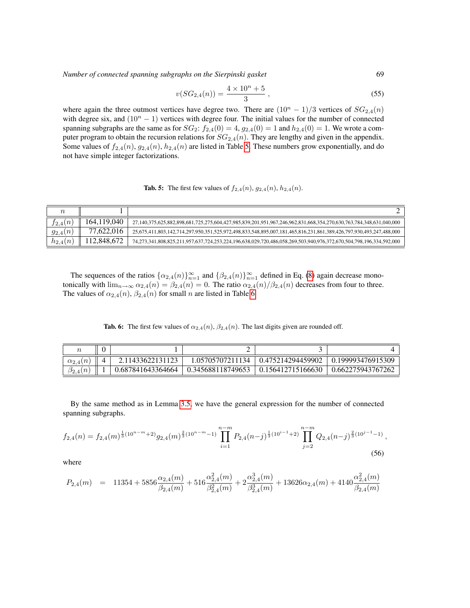$$
v(SG_{2,4}(n)) = \frac{4 \times 10^n + 5}{3},
$$
\n(55)

where again the three outmost vertices have degree two. There are  $(10<sup>n</sup> - 1)/3$  vertices of  $SG_{2,4}(n)$ with degree six, and  $(10<sup>n</sup> - 1)$  vertices with degree four. The initial values for the number of connected spanning subgraphs are the same as for  $SG_2$ :  $f_{2,4}(0) = 4$ ,  $g_{2,4}(0) = 1$  and  $h_{2,4}(0) = 1$ . We wrote a computer program to obtain the recursion relations for  $SG_{2,4}(n)$ . They are lengthy and given in the appendix. Some values of  $f_{2,4}(n)$ ,  $g_{2,4}(n)$ ,  $h_{2,4}(n)$  are listed in Table [5.](#page-14-0) These numbers grow exponentially, and do not have simple integer factorizations.

<span id="page-14-0"></span>**Tab. 5:** The first few values of  $f_{2,4}(n)$ ,  $g_{2,4}(n)$ ,  $h_{2,4}(n)$ .

| $f_{2,4}(n)$ | 164,119,040 | 27,140,375,625,882,898,681,725,275,604,427,985,839,201,951,967,246,962,831,668,354,270,630,763,784,348,631,040,000 |
|--------------|-------------|--------------------------------------------------------------------------------------------------------------------|
| $g_{2,4}$    | 77.622.016  | 25,675,411,803,142,714,297,950,351,525,972,498,833,548,895,007,181,465,816,231,861,389,426,797,930,493,247,488,000 |
| $h_{2,4}(n)$ | 12,848,672  | 74,273,341,808,825,211,957,637,724,253,224,196,638,029,720,486,058,269,503,940,976,372,670,504,798,196,334,592,000 |

The sequences of the ratios  $\{\alpha_{2,4}(n)\}_{n=1}^{\infty}$  and  $\{\beta_{2,4}(n)\}_{n=1}^{\infty}$  defined in Eq. [\(8\)](#page-4-3) again decrease monotonically with  $\lim_{n\to\infty} \alpha_{2,4}(n) = \beta_{2,4}(n) = 0$ . The ratio  $\alpha_{2,4}(n)/\beta_{2,4}(n)$  decreases from four to three. The values of  $\alpha_{2,4}(n)$ ,  $\beta_{2,4}(n)$  for small n are listed in Table [6.](#page-14-1)

<span id="page-14-1"></span>Tab. 6: The first few values of  $\alpha_{2,4}(n)$ ,  $\beta_{2,4}(n)$ . The last digits given are rounded off.

| $\alpha_{2.4}$ | 2.11433622131123  | 1.05705707211134  | 0.475214294459902 | 0.199993476915309 |
|----------------|-------------------|-------------------|-------------------|-------------------|
| $^{102.41}$    | 0.687841643364664 | 0.345688118749653 | 0.156412715166630 | 0.662275943767262 |

By the same method as in Lemma [3.5,](#page-8-2) we have the general expression for the number of connected spanning subgraphs.

$$
f_{2,4}(n) = f_{2,4}(m)^{\frac{1}{3}(10^{n-m}+2)} g_{2,4}(m)^{\frac{2}{3}(10^{n-m}-1)} \prod_{i=1}^{n-m} P_{2,4}(n-j)^{\frac{1}{3}(10^{i-1}+2)} \prod_{j=2}^{n-m} Q_{2,4}(n-j)^{\frac{2}{3}(10^{j-1}-1)},
$$
\n(56)

where

$$
P_{2,4}(m) \quad = \quad 11354 + 5856 \frac{\alpha_{2,4}(m)}{\beta_{2,4}(m)} + 516 \frac{\alpha_{2,4}^2(m)}{\beta_{2,4}^2(m)} + 2 \frac{\alpha_{2,4}^3(m)}{\beta_{2,4}^3(m)} + 13626 \alpha_{2,4}(m) + 4140 \frac{\alpha_{2,4}^2(m)}{\beta_{2,4}(m)}
$$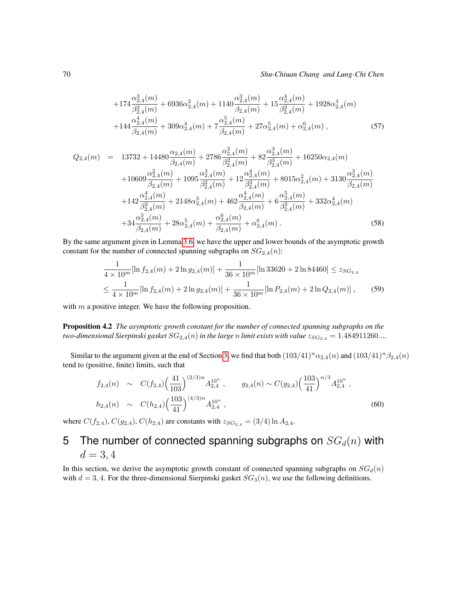#### 70 *Shu-Chiuan Chang and Lung-Chi Chen*

$$
+174\frac{\alpha_{2,4}^{3}(m)}{\beta_{2,4}^{2}(m)}+6936\alpha_{2,4}^{2}(m)+1140\frac{\alpha_{2,4}^{3}(m)}{\beta_{2,4}(m)}+15\frac{\alpha_{2,4}^{4}(m)}{\beta_{2,4}^{2}(m)}+1928\alpha_{2,4}^{3}(m) +144\frac{\alpha_{2,4}^{4}(m)}{\beta_{2,4}(m)}+309\alpha_{2,4}^{4}(m)+7\frac{\alpha_{2,4}^{5}(m)}{\beta_{2,4}(m)}+27\alpha_{2,4}^{5}(m)+\alpha_{2,4}^{6}(m),
$$
\n(57)

$$
Q_{2,4}(m) = 13732 + 14480 \frac{\alpha_{2,4}(m)}{\beta_{2,4}(m)} + 2786 \frac{\alpha_{2,4}^2(m)}{\beta_{2,4}^2(m)} + 82 \frac{\alpha_{2,4}^3(m)}{\beta_{2,4}^3(m)} + 16250 \alpha_{2,4}(m) + 10609 \frac{\alpha_{2,4}^2(m)}{\beta_{2,4}(m)} + 1095 \frac{\alpha_{2,4}^3(m)}{\beta_{2,4}^2(m)} + 12 \frac{\alpha_{2,4}^4(m)}{\beta_{2,4}^3(m)} + 8015 \alpha_{2,4}^2(m) + 3130 \frac{\alpha_{2,4}^3(m)}{\beta_{2,4}(m)} + 142 \frac{\alpha_{2,4}^4(m)}{\beta_{2,4}^2(m)} + 2148 \alpha_{2,4}^3(m) + 462 \frac{\alpha_{2,4}^4(m)}{\beta_{2,4}(m)} + 6 \frac{\alpha_{2,4}^5(m)}{\beta_{2,4}^2(m)} + 332 \alpha_{2,4}^4(m) + 34 \frac{\alpha_{2,4}^5(m)}{\beta_{2,4}(m)} + 28 \alpha_{2,4}^5(m) + \frac{\alpha_{2,4}^6(m)}{\beta_{2,4}(m)} + \alpha_{2,4}^6(m) .
$$
\n(58)

By the same argument given in Lemma [3.6,](#page-9-1) we have the upper and lower bounds of the asymptotic growth constant for the number of connected spanning subgraphs on  $SG_{2,4}(n)$ :

$$
\frac{1}{4 \times 10^m} [\ln f_{2,4}(m) + 2 \ln g_{2,4}(m)] + \frac{1}{36 \times 10^m} [\ln 33620 + 2 \ln 84460] \le z_{SG_{2,4}}\le \frac{1}{4 \times 10^m} [\ln f_{2,4}(m) + 2 \ln g_{2,4}(m)] + \frac{1}{36 \times 10^m} [\ln P_{2,4}(m) + 2 \ln Q_{2,4}(m)],
$$
 (59)

with  $m$  a positive integer. We have the following proposition.

Proposition 4.2 *The asymptotic growth constant for the number of connected spanning subgraphs on the two-dimensional Sierpinski gasket*  $SG_{2,4}(n)$  *in the large n limit exists with value*  $z_{SG_{2,4}} = 1.484911260...$ 

Similar to the argument given at the end of Section [3,](#page-3-4) we find that both  $(103/41)^n \alpha_{2,4}(n)$  and  $(103/41)^n \beta_{2,4}(n)$ tend to (positive, finite) limits, such that

$$
f_{2,4}(n) \sim C(f_{2,4}) \left(\frac{41}{103}\right)^{(2/3)n} A_{2,4}^{10^n}, \qquad g_{2,4}(n) \sim C(g_{2,4}) \left(\frac{103}{41}\right)^{n/3} A_{2,4}^{10^n},
$$
  
\n
$$
h_{2,4}(n) \sim C(h_{2,4}) \left(\frac{103}{41}\right)^{(4/3)n} A_{2,4}^{10^n},
$$
\n(60)

where  $C(f_{2,4}), C(g_{2,4}), C(h_{2,4})$  are constants with  $z_{SG_{2,4}} = (3/4) \ln A_{2,4}$ .

# 5 The number of connected spanning subgraphs on  $SG_d(n)$  with  $d = 3, 4$

In this section, we derive the asymptotic growth constant of connected spanning subgraphs on  $SG_d(n)$ with  $d = 3, 4$ . For the three-dimensional Sierpinski gasket  $SG_3(n)$ , we use the following definitions.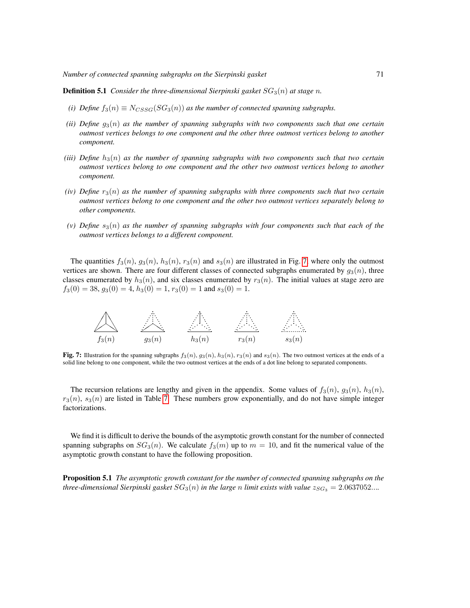**Definition 5.1** *Consider the three-dimensional Sierpinski gasket*  $SG<sub>3</sub>(n)$  *at stage n*.

- *(i) Define*  $f_3(n) \equiv N_{CSSG}(SG_3(n))$  *as the number of connected spanning subgraphs.*
- *(ii) Define*  $g_3(n)$  *as the number of spanning subgraphs with two components such that one certain outmost vertices belongs to one component and the other three outmost vertices belong to another component.*
- *(iii) Define*  $h_3(n)$  *as the number of spanning subgraphs with two components such that two certain outmost vertices belong to one component and the other two outmost vertices belong to another component.*
- *(iv) Define*  $r_3(n)$  *as the number of spanning subgraphs with three components such that two certain outmost vertices belong to one component and the other two outmost vertices separately belong to other components.*
- $(v)$  Define  $s_3(n)$  as the number of spanning subgraphs with four components such that each of the *outmost vertices belongs to a different component.*

The quantities  $f_3(n)$ ,  $g_3(n)$ ,  $h_3(n)$ ,  $r_3(n)$  and  $s_3(n)$  are illustrated in Fig. [7,](#page-16-0) where only the outmost vertices are shown. There are four different classes of connected subgraphs enumerated by  $g_3(n)$ , three classes enumerated by  $h_3(n)$ , and six classes enumerated by  $r_3(n)$ . The initial values at stage zero are  $f_3(0) = 38, g_3(0) = 4, h_3(0) = 1, r_3(0) = 1$  and  $s_3(0) = 1$ .



<span id="page-16-0"></span>Fig. 7: Illustration for the spanning subgraphs  $f_3(n)$ ,  $g_3(n)$ ,  $h_3(n)$ ,  $r_3(n)$  and  $s_3(n)$ . The two outmost vertices at the ends of a solid line belong to one component, while the two outmost vertices at the ends of a dot line belong to separated components.

The recursion relations are lengthy and given in the appendix. Some values of  $f_3(n)$ ,  $g_3(n)$ ,  $h_3(n)$ ,  $r_3(n)$ ,  $s_3(n)$  are listed in Table [7.](#page-17-0) These numbers grow exponentially, and do not have simple integer factorizations.

We find it is difficult to derive the bounds of the asymptotic growth constant for the number of connected spanning subgraphs on  $SG_3(n)$ . We calculate  $f_3(m)$  up to  $m = 10$ , and fit the numerical value of the asymptotic growth constant to have the following proposition.

Proposition 5.1 *The asymptotic growth constant for the number of connected spanning subgraphs on the three-dimensional Sierpinski gasket*  $SG_3(n)$  *in the large n limit exists with value*  $z_{SG_3} = 2.0637052...$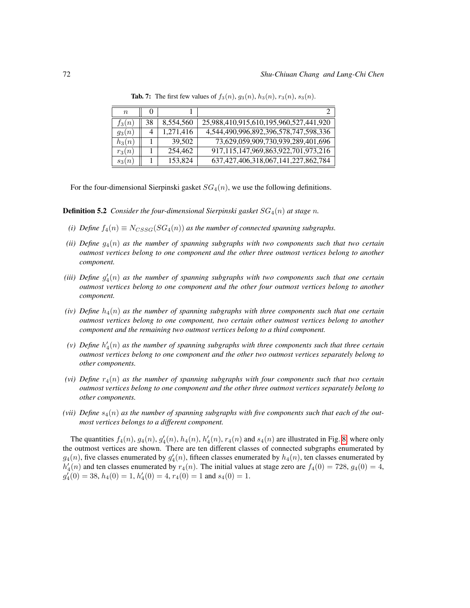| $\boldsymbol{n}$ |    |           |                                             |
|------------------|----|-----------|---------------------------------------------|
| $f_3(n)$         | 38 | 8,554,560 | 25,988,410,915,610,195,960,527,441,920      |
| $g_3(n)$         | 4  | 1,271,416 | 4,544,490,996,892,396,578,747,598,336       |
| $h_3(n)$         |    | 39,502    | 73,629,059,909,730,939,289,401,696          |
| $r_3(n)$         |    | 254,462   | 917, 115, 147, 969, 863, 922, 701, 973, 216 |
| $s_3(n)$         |    | 153,824   | 637, 427, 406, 318, 067, 141, 227, 862, 784 |

<span id="page-17-0"></span>**Tab. 7:** The first few values of  $f_3(n)$ ,  $g_3(n)$ ,  $h_3(n)$ ,  $r_3(n)$ ,  $s_3(n)$ .

For the four-dimensional Sierpinski gasket  $SG_4(n)$ , we use the following definitions.

**Definition 5.2** *Consider the four-dimensional Sierpinski gasket*  $SG_4(n)$  *at stage n*.

- *(i) Define*  $f_4(n) \equiv N_{CSSG}(SG_4(n))$  *as the number of connected spanning subgraphs.*
- *(ii) Define* g4(n) *as the number of spanning subgraphs with two components such that two certain outmost vertices belong to one component and the other three outmost vertices belong to another component.*
- (iii) Define  $g_4'(n)$  as the number of spanning subgraphs with two components such that one certain *outmost vertices belong to one component and the other four outmost vertices belong to another component.*
- *(iv)* Define  $h_4(n)$  as the number of spanning subgraphs with three components such that one certain *outmost vertices belong to one component, two certain other outmost vertices belong to another component and the remaining two outmost vertices belong to a third component.*
- (v) Define  $h'_4(n)$  as the number of spanning subgraphs with three components such that three certain *outmost vertices belong to one component and the other two outmost vertices separately belong to other components.*
- *(vi)* Define  $r_4(n)$  as the number of spanning subgraphs with four components such that two certain *outmost vertices belong to one component and the other three outmost vertices separately belong to other components.*
- *(vii)* Define  $s_4(n)$  as the number of spanning subgraphs with five components such that each of the out*most vertices belongs to a different component.*

The quantities  $f_4(n)$ ,  $g_4(n)$ ,  $g'_4(n)$ ,  $h_4(n)$ ,  $h'_4(n)$ ,  $r_4(n)$  and  $s_4(n)$  are illustrated in Fig. [8,](#page-18-0) where only the outmost vertices are shown. There are ten different classes of connected subgraphs enumerated by  $g_4(n)$ , five classes enumerated by  $g'_4(n)$ , fifteen classes enumerated by  $h_4(n)$ , ten classes enumerated by  $h'_4(n)$  and ten classes enumerated by  $r_4(n)$ . The initial values at stage zero are  $f_4(0) = 728$ ,  $g_4(0) = 4$ ,  $g'_4(0) = 38$ ,  $h_4(0) = 1$ ,  $h'_4(0) = 4$ ,  $r_4(0) = 1$  and  $s_4(0) = 1$ .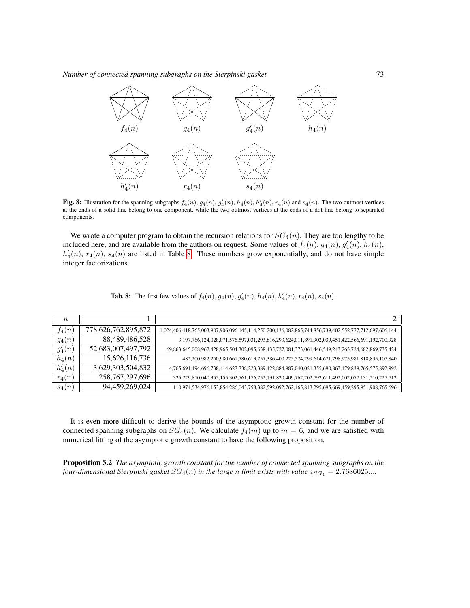

<span id="page-18-0"></span>Fig. 8: Illustration for the spanning subgraphs  $f_4(n)$ ,  $g_4(n)$ ,  $g_4'(n)$ ,  $h_4(n)$ ,  $h'_4(n)$ ,  $r_4(n)$  and  $s_4(n)$ . The two outmost vertices at the ends of a solid line belong to one component, while the two outmost vertices at the ends of a dot line belong to separated components.

We wrote a computer program to obtain the recursion relations for  $SG_4(n)$ . They are too lengthy to be included here, and are available from the authors on request. Some values of  $f_4(n)$ ,  $g_4(n)$ ,  $g'_4(n)$ ,  $h_4(n)$ ,  $h'_4(n)$ ,  $r_4(n)$ ,  $s_4(n)$  are listed in Table [8.](#page-18-1) These numbers grow exponentially, and do not have simple integer factorizations.

| $\boldsymbol{n}$ |                     |                                                                                                       |
|------------------|---------------------|-------------------------------------------------------------------------------------------------------|
| $f_4(n)$         | 778,626,762,895,872 | 1,024,406,418,765,003,907,906,096,145,114,250,200,136,082,865,744,856,739,402,552,777,712,697,606,144 |
| $g_4(n)$         | 88,489,486,528      | 3,197,766,124,028,071,576,597,031,293,816,293,624,011,891,902,039,451,422,566,691,192,700,928         |
| $g'_4(n)$        | 52,683,007,497,792  | 69,863,645,008,967,428,965,504,302,095,638,435,727,081,373,061,446,549,243,263,724,682,869,735,424    |
| $h_4(n)$         | 15,626,116,736      | 482,200,982,250,980,661,780,613,757,386,400,225,524,299,614,671,798,975,981,818,835,107,840           |
| $h'_4(n)$        | 3,629,303,504,832   | 4,765,691,494,696,738,414,627,738,223,389,422,884,987,040,021,355,690,863,179,839,765,575,892,992     |
| $r_4(n)$         | 258, 767, 297, 696  | 325,229,810,040,355,155,302,761,176,752,191,820,409,762,202,792,611,492,002,077,131,210,227,712       |
| $s_4(n)$         | 94,459,269,024      | 110,974,534,976,153,854,286,043,758,382,592,092,762,465,813,295,695,669,459,295,951,908,765,696       |

<span id="page-18-1"></span>

|  | <b>Tab. 8:</b> The first few values of $f_4(n)$ , $g_4(n)$ , $g'_4(n)$ , $h_4(n)$ , $h'_4(n)$ , $r_4(n)$ , $s_4(n)$ . |  |  |  |  |  |  |
|--|-----------------------------------------------------------------------------------------------------------------------|--|--|--|--|--|--|
|--|-----------------------------------------------------------------------------------------------------------------------|--|--|--|--|--|--|

It is even more difficult to derive the bounds of the asymptotic growth constant for the number of connected spanning subgraphs on  $SG_4(n)$ . We calculate  $f_4(m)$  up to  $m = 6$ , and we are satisfied with numerical fitting of the asymptotic growth constant to have the following proposition.

Proposition 5.2 *The asymptotic growth constant for the number of connected spanning subgraphs on the four-dimensional Sierpinski gasket*  $SG_4(n)$  *in the large n limit exists with value*  $z_{SG_4} = 2.7686025...$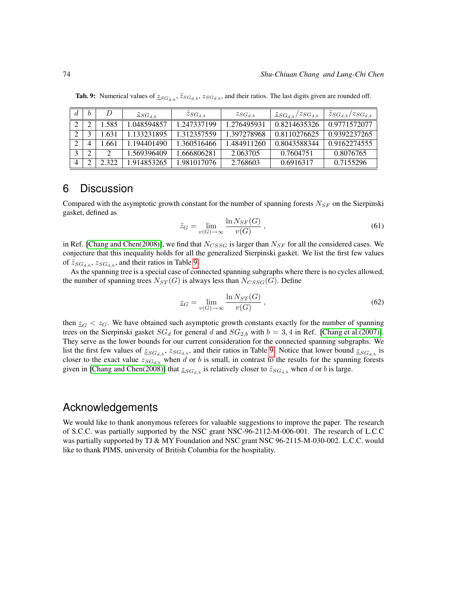|   |   |       | $\mathcal{Z}_{SG_{d,b}}$ | $z_{SG_{d,b}}$ | $z_{SG_{d,b}}$ | $\frac{z_{SG_{d,b}}}{z_{SG_{d,b}}}$ | $\tilde{z}_{SG_{d,b}}/z_{SG_{d,b}}$ |
|---|---|-------|--------------------------|----------------|----------------|-------------------------------------|-------------------------------------|
|   |   | .585  | .048594857               | 1.247337199    | 1.276495931    | 0.8214635326                        | 0.9771572077                        |
|   |   | .631  | 1.133231895              | 1.312357559    | 1.397278968    | 0.8110276625                        | 0.9392237265                        |
|   |   | .661  | 1.194401490              | 1.360516466    | 1.484911260    | 0.8043588344                        | 0.9162274555                        |
|   | ◠ |       | 1.569396409              | 1.666806281    | 2.063705       | 0.7604751                           | 0.8076765                           |
| 4 |   | ว ววว | 1.914853265              | 1.981017076    | 2.768603       | 0.6916317                           | 0.7155296                           |

<span id="page-19-0"></span>**Tab. 9:** Numerical values of  $\underline{z}_{SG_{d,b}}, \widetilde{z}_{SG_{d,b}}, z_{SG_{d,b}}$ , and their ratios. The last digits given are rounded off.

## 6 Discussion

Compared with the asymptotic growth constant for the number of spanning forests  $N_{SF}$  on the Sierpinski gasket, defined as

$$
\tilde{z}_G = \lim_{v(G) \to \infty} \frac{\ln N_{SF}(G)}{v(G)} ,
$$
\n(61)

in Ref. [\[Chang and Chen\(2008\)\]](#page-22-16), we find that  $N_{CSSG}$  is larger than  $N_{SF}$  for all the considered cases. We conjecture that this inequality holds for all the generalized Sierpinski gasket. We list the first few values of  $\tilde{z}_{SG_{d,b}}, z_{SG_{d,b}}$ , and their ratios in Table [9.](#page-19-0)

As the spanning tree is a special case of connected spanning subgraphs where there is no cycles allowed, the number of spanning trees  $N_{ST}(G)$  is always less than  $N_{CSSG}(G)$ . Define

$$
\underline{z}_G = \lim_{v(G) \to \infty} \frac{\ln N_{ST}(G)}{v(G)} , \qquad (62)
$$

then  $\mathcal{Z}_G < \mathcal{Z}_G$ . We have obtained such asymptotic growth constants exactly for the number of spanning trees on the Sierpinski gasket  $SG_d$  for general d and  $SG_{2,b}$  with  $b = 3, 4$  in Ref. [\[Chang et al.\(2007\)\]](#page-22-13). They serve as the lower bounds for our current consideration for the connected spanning subgraphs. We list the first few values of  $\mathcal{Z}_{SG_{d,b}}, \mathcal{Z}_{SG_{d,b}}$ , and their ratios in Table [9.](#page-19-0) Notice that lower bound  $\mathcal{Z}_{SG_{d,b}}$  is closer to the exact value  $z_{SG_{d,b}}$  when d or b is small, in contrast to the results for the spanning forests given in [\[Chang and Chen\(2008\)\]](#page-22-16) that  $\underline{z}_{SG_{d,b}}$  is relatively closer to  $\tilde{z}_{SG_{d,b}}$  when d or b is large.

### Acknowledgements

We would like to thank anonymous referees for valuable suggestions to improve the paper. The research of S.C.C. was partially supported by the NSC grant NSC-96-2112-M-006-001. The research of L.C.C was partially supported by TJ & MY Foundation and NSC grant NSC 96-2115-M-030-002. L.C.C. would like to thank PIMS, university of British Columbia for the hospitality.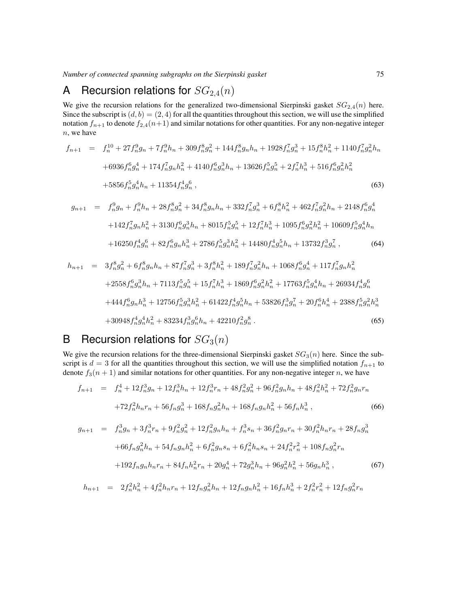# A Recursion relations for  $SG_{2,4}(n)$

We give the recursion relations for the generalized two-dimensional Sierpinski gasket  $SG_{2,4}(n)$  here. Since the subscript is  $(d, b) = (2, 4)$  for all the quantities throughout this section, we will use the simplified notation  $f_{n+1}$  to denote  $f_{2,4}(n+1)$  and similar notations for other quantities. For any non-negative integer n, we have

$$
f_{n+1} = f_n^{10} + 27f_n^9g_n + 7f_n^9h_n + 309f_n^8g_n^2 + 144f_n^8g_nh_n + 1928f_n^7g_n^3 + 15f_n^8h_n^2 + 1140f_n^7g_n^2h_n
$$
  
+6936f\_n^6g\_n^4 + 174f\_n^7g\_nh\_n^2 + 4140f\_n^6g\_n^3h\_n + 13626f\_n^5g\_n^5 + 2f\_n^7h\_n^3 + 516f\_n^6g\_n^2h\_n^2  
+5856f\_n^5g\_n^4h\_n + 11354f\_n^4g\_n^6 , \t\t(63)

$$
g_{n+1} = f_n^9 g_n + f_n^9 h_n + 28 f_n^8 g_n^2 + 34 f_n^8 g_n h_n + 332 f_n^7 g_n^3 + 6 f_n^8 h_n^2 + 462 f_n^7 g_n^2 h_n + 2148 f_n^6 g_n^4
$$
  
+142 f\_n^7 g\_n h\_n^2 + 3130 f\_n^6 g\_n^3 h\_n + 8015 f\_n^5 g\_n^5 + 12 f\_n^7 h\_n^3 + 1095 f\_n^6 g\_n^2 h\_n^2 + 10609 f\_n^5 g\_n^4 h\_n  
+16250 f\_n^4 g\_n^6 + 82 f\_n^6 g\_n h\_n^3 + 2786 f\_n^5 g\_n^3 h\_n^2 + 14480 f\_n^4 g\_n^5 h\_n + 13732 f\_n^3 g\_n^7 , \t\t(64)

$$
h_{n+1} = 3f_n^8 g_n^2 + 6f_n^8 g_n h_n + 87f_n^7 g_n^3 + 3f_n^8 h_n^2 + 189f_n^7 g_n^2 h_n + 1068f_n^6 g_n^4 + 117f_n^7 g_n h_n^2
$$
  
+2558f\_n^6 g\_n^3 h\_n + 7113f\_n^5 g\_n^5 + 15f\_n^7 h\_n^3 + 1869f\_n^6 g\_n^2 h\_n^2 + 17763f\_n^5 g\_n^4 h\_n + 26934f\_n^4 g\_n^6  
+444f\_n^6 g\_n h\_n^3 + 12756f\_n^5 g\_n^3 h\_n^2 + 61422f\_n^4 g\_n^5 h\_n + 53826f\_n^3 g\_n^7 + 20f\_n^6 h\_n^4 + 2388f\_n^5 g\_n^2 h\_n^3  
+30948f\_n^4 g\_n^4 h\_n^2 + 83234f\_n^3 g\_n^6 h\_n + 42210f\_n^2 g\_n^8. (65)

# B Recursion relations for  $SG_3(n)$

We give the recursion relations for the three-dimensional Sierpinski gasket  $SG_3(n)$  here. Since the subscript is  $d = 3$  for all the quantities throughout this section, we will use the simplified notation  $f_{n+1}$  to denote  $f_3(n + 1)$  and similar notations for other quantities. For any non-negative integer n, we have

$$
f_{n+1} = f_n^4 + 12f_n^3g_n + 12f_n^3h_n + 12f_n^3r_n + 48f_n^2g_n^2 + 96f_n^2g_nh_n + 48f_n^2h_n^2 + 72f_n^2g_nr_n
$$
  
+72f\_n^2h\_nr\_n + 56f\_ng\_n^3 + 168f\_ng\_n^2h\_n + 168f\_ng\_nh\_n^2 + 56f\_nh\_n^3, (66)

$$
g_{n+1} = f_n^3 g_n + 3f_n^3 r_n + 9f_n^2 g_n^2 + 12f_n^2 g_n h_n + f_n^3 s_n + 36f_n^2 g_n r_n + 30f_n^2 h_n r_n + 28f_n g_n^3
$$
  
+66f\_n g\_n^2 h\_n + 54f\_n g\_n h\_n^2 + 6f\_n^2 g\_n s\_n + 6f\_n^2 h\_n s\_n + 24f\_n^2 r\_n^2 + 108f\_n g\_n^2 r\_n  
+192f\_n g\_n h\_n r\_n + 84f\_n h\_n^2 r\_n + 20g\_n^4 + 72g\_n^3 h\_n + 96g\_n^2 h\_n^2 + 56g\_n h\_n^3, \t(67)

$$
h_{n+1} = 2f_n^2h_n^2 + 4f_n^2h_nr_n + 12f_ng_n^2h_n + 12f_ng_nh_n^2 + 16f_nh_n^3 + 2f_n^2r_n^2 + 12f_ng_n^2r_n
$$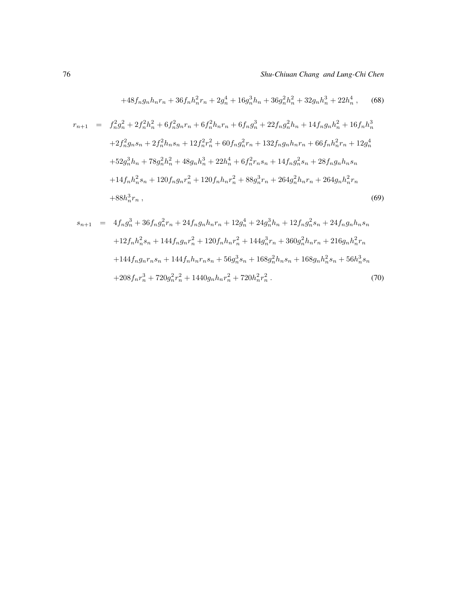$$
+48f_n g_n h_n r_n + 36f_n h_n^2 r_n + 2g_n^4 + 16g_n^3 h_n + 36g_n^2 h_n^2 + 32g_n h_n^3 + 22h_n^4 ,\qquad (68)
$$

$$
r_{n+1} = f_n^2 g_n^2 + 2f_n^2 h_n^2 + 6f_n^2 g_n r_n + 6f_n^2 h_n r_n + 6f_n g_n^3 + 22f_n g_n^2 h_n + 14f_n g_n h_n^2 + 16f_n h_n^3
$$
  
+2f\_n^2 g\_n s\_n + 2f\_n^2 h\_n s\_n + 12f\_n^2 r\_n^2 + 60f\_n g\_n^2 r\_n + 132f\_n g\_n h\_n r\_n + 66f\_n h\_n^2 r\_n + 12g\_n^4  
+52g\_n^3 h\_n + 78g\_n^2 h\_n^2 + 48g\_n h\_n^3 + 22h\_n^4 + 6f\_n^2 r\_n s\_n + 14f\_n g\_n^2 s\_n + 28f\_n g\_n h\_n s\_n  
+14f\_n h\_n^2 s\_n + 120f\_n g\_n r\_n^2 + 120f\_n h\_n r\_n^2 + 88g\_n^3 r\_n + 264g\_n^2 h\_n r\_n + 264g\_n h\_n^2 r\_n  
+88h\_n^3 r\_n, \t(69)

$$
s_{n+1} = 4f_n g_n^3 + 36f_n g_n^2 r_n + 24f_n g_n h_n r_n + 12g_n^4 + 24g_n^3 h_n + 12f_n g_n^2 s_n + 24f_n g_n h_n s_n
$$
  
+12f\_n h\_n^2 s\_n + 144f\_n g\_n r\_n^2 + 120f\_n h\_n r\_n^2 + 144g\_n^3 r\_n + 360g\_n^2 h\_n r\_n + 216g\_n h\_n^2 r\_n  
+144f\_n g\_n r\_n s\_n + 144f\_n h\_n r\_n s\_n + 56g\_n^3 s\_n + 168g\_n^2 h\_n s\_n + 168g\_n h\_n^2 s\_n + 56h\_n^3 s\_n  
+208f\_n r\_n^3 + 720g\_n^2 r\_n^2 + 1440g\_n h\_n r\_n^2 + 720h\_n^2 r\_n^2. (70)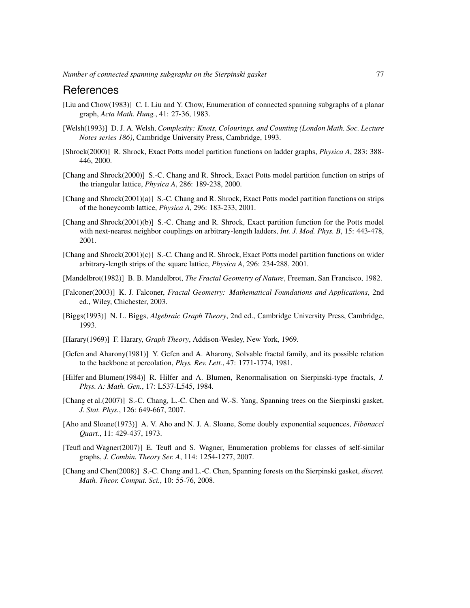#### References

- <span id="page-22-0"></span>[Liu and Chow(1983)] C. I. Liu and Y. Chow, Enumeration of connected spanning subgraphs of a planar graph, *Acta Math. Hung.*, 41: 27-36, 1983.
- <span id="page-22-1"></span>[Welsh(1993)] D. J. A. Welsh, *Complexity: Knots, Colourings, and Counting (London Math. Soc. Lecture Notes series 186)*, Cambridge University Press, Cambridge, 1993.
- <span id="page-22-2"></span>[Shrock(2000)] R. Shrock, Exact Potts model partition functions on ladder graphs, *Physica A*, 283: 388- 446, 2000.
- <span id="page-22-3"></span>[Chang and Shrock(2000)] S.-C. Chang and R. Shrock, Exact Potts model partition function on strips of the triangular lattice, *Physica A*, 286: 189-238, 2000.
- <span id="page-22-4"></span>[Chang and Shrock(2001)(a)] S.-C. Chang and R. Shrock, Exact Potts model partition functions on strips of the honeycomb lattice, *Physica A*, 296: 183-233, 2001.
- <span id="page-22-5"></span>[Chang and Shrock(2001)(b)] S.-C. Chang and R. Shrock, Exact partition function for the Potts model with next-nearest neighbor couplings on arbitrary-length ladders, *Int. J. Mod. Phys. B*, 15: 443-478, 2001.
- <span id="page-22-6"></span>[Chang and Shrock(2001)(c)] S.-C. Chang and R. Shrock, Exact Potts model partition functions on wider arbitrary-length strips of the square lattice, *Physica A*, 296: 234-288, 2001.
- <span id="page-22-7"></span>[Mandelbrot(1982)] B. B. Mandelbrot, *The Fractal Geometry of Nature*, Freeman, San Francisco, 1982.
- <span id="page-22-8"></span>[Falconer(2003)] K. J. Falconer, *Fractal Geometry: Mathematical Foundations and Applications*, 2nd ed., Wiley, Chichester, 2003.
- <span id="page-22-9"></span>[Biggs(1993)] N. L. Biggs, *Algebraic Graph Theory*, 2nd ed., Cambridge University Press, Cambridge, 1993.
- <span id="page-22-10"></span>[Harary(1969)] F. Harary, *Graph Theory*, Addison-Wesley, New York, 1969.
- <span id="page-22-11"></span>[Gefen and Aharony(1981)] Y. Gefen and A. Aharony, Solvable fractal family, and its possible relation to the backbone at percolation, *Phys. Rev. Lett.*, 47: 1771-1774, 1981.
- <span id="page-22-12"></span>[Hilfer and Blumen(1984)] R. Hilfer and A. Blumen, Renormalisation on Sierpinski-type fractals, *J. Phys. A: Math. Gen.*, 17: L537-L545, 1984.
- <span id="page-22-13"></span>[Chang et al.(2007)] S.-C. Chang, L.-C. Chen and W.-S. Yang, Spanning trees on the Sierpinski gasket, *J. Stat. Phys.*, 126: 649-667, 2007.
- <span id="page-22-14"></span>[Aho and Sloane(1973)] A. V. Aho and N. J. A. Sloane, Some doubly exponential sequences, *Fibonacci Quart.*, 11: 429-437, 1973.
- <span id="page-22-15"></span>[Teufl and Wagner(2007)] E. Teufl and S. Wagner, Enumeration problems for classes of self-similar graphs, *J. Combin. Theory Ser. A*, 114: 1254-1277, 2007.
- <span id="page-22-16"></span>[Chang and Chen(2008)] S.-C. Chang and L.-C. Chen, Spanning forests on the Sierpinski gasket, *discret. Math. Theor. Comput. Sci.*, 10: 55-76, 2008.